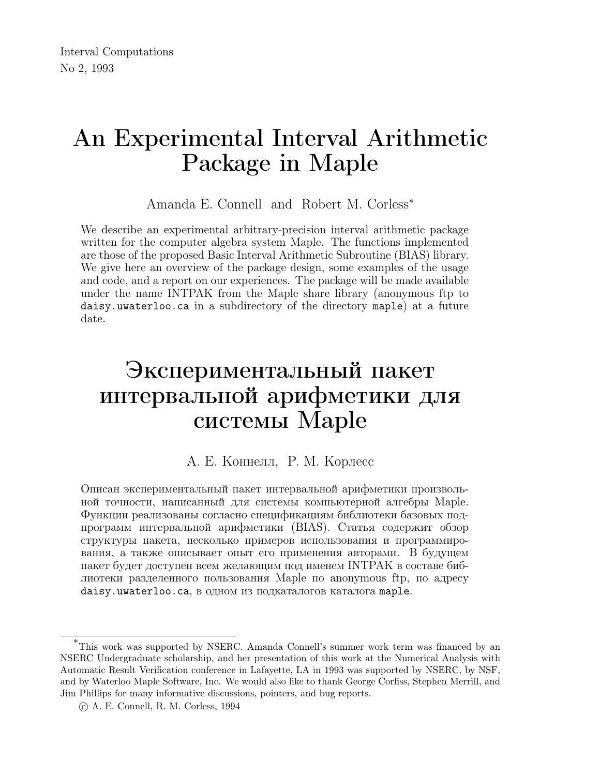# An Experimental Interval Arithmetic Package in Maple

Amanda E. Connell and Robert M. Corless<sup>∗</sup>

We describe an experimental arbitrary-precision interval arithmetic package written for the computer algebra system Maple. The functions implemented are those of the proposed Basic Interval Arithmetic Subroutine (BIAS) library. We give here an overview of the package design, some examples of the usage and code, and a report on our experiences. The package will be made available under the name INTPAK from the Maple share library (anonymous ftp to daisy.uwaterloo.ca in a subdirectory of the directory maple) at a future date.

# Экспериментальный пакет интервальной арифметики для системы Maple

#### А. Е. Коннелл, Р. М. Корлесс

Описан экспериментальный пакет интервальной арифметики произвольной точности, написанный для системы компьютерной алгебры Maple. Функции реализованы согласно спецификациям библиотеки базовых подпрограмм интервальной арифметики (BIAS). Статья содержит обзор структуры пакета, несколько примеров использования и программирования, а также описывает опыт его применения авторами. В будущем пакет будет доступен всем желающим под именем INTPAK в составе библиотеки разделенного пользования Maple по anonymous ftp, по адресу daisy.uwaterloo.ca, в одном из подкаталогов каталога maple.

<sup>\*</sup>This work was supported by NSERC. Amanda Connell's summer work term was financed by an NSERC Undergraduate scholarship, and her presentation of this work at the Numerical Analysis with Automatic Result Verification conference in Lafayette, LA in 1993 was supported by NSERC, by NSF, and by Waterloo Maple Software, Inc. We would also like to thank George Corliss, Stephen Merrill, and Jim Phillips for many informative discussions, pointers, and bug reports.

c A. E. Connell, R. M. Corless, 1994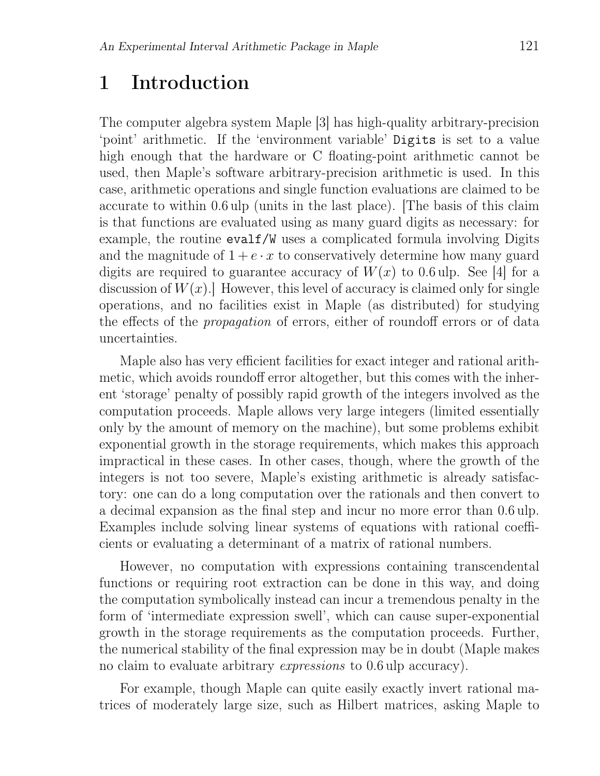# 1 Introduction

The computer algebra system Maple [3] has high-quality arbitrary-precision 'point' arithmetic. If the 'environment variable' Digits is set to a value high enough that the hardware or C floating-point arithmetic cannot be used, then Maple's software arbitrary-precision arithmetic is used. In this case, arithmetic operations and single function evaluations are claimed to be accurate to within 0.6 ulp (units in the last place). [The basis of this claim is that functions are evaluated using as many guard digits as necessary: for example, the routine evalf/W uses a complicated formula involving Digits and the magnitude of  $1 + e \cdot x$  to conservatively determine how many guard digits are required to guarantee accuracy of  $W(x)$  to 0.6 ulp. See [4] for a discussion of  $W(x)$ . However, this level of accuracy is claimed only for single operations, and no facilities exist in Maple (as distributed) for studying the effects of the propagation of errors, either of roundoff errors or of data uncertainties.

Maple also has very efficient facilities for exact integer and rational arithmetic, which avoids roundoff error altogether, but this comes with the inherent 'storage' penalty of possibly rapid growth of the integers involved as the computation proceeds. Maple allows very large integers (limited essentially only by the amount of memory on the machine), but some problems exhibit exponential growth in the storage requirements, which makes this approach impractical in these cases. In other cases, though, where the growth of the integers is not too severe, Maple's existing arithmetic is already satisfactory: one can do a long computation over the rationals and then convert to a decimal expansion as the final step and incur no more error than 0.6 ulp. Examples include solving linear systems of equations with rational coefficients or evaluating a determinant of a matrix of rational numbers.

However, no computation with expressions containing transcendental functions or requiring root extraction can be done in this way, and doing the computation symbolically instead can incur a tremendous penalty in the form of 'intermediate expression swell', which can cause super-exponential growth in the storage requirements as the computation proceeds. Further, the numerical stability of the final expression may be in doubt (Maple makes no claim to evaluate arbitrary expressions to 0.6 ulp accuracy).

For example, though Maple can quite easily exactly invert rational matrices of moderately large size, such as Hilbert matrices, asking Maple to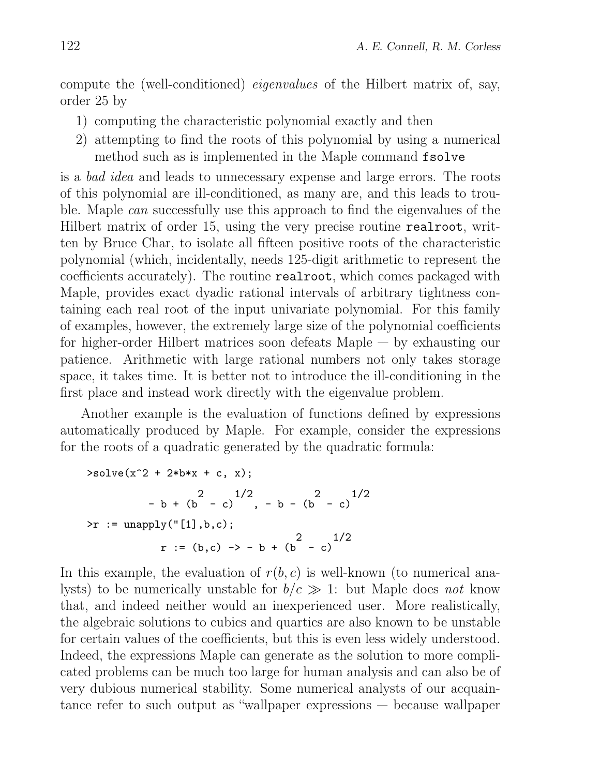compute the (well-conditioned) eigenvalues of the Hilbert matrix of, say, order 25 by

- 1) computing the characteristic polynomial exactly and then
- 2) attempting to find the roots of this polynomial by using a numerical method such as is implemented in the Maple command fsolve

is a bad idea and leads to unnecessary expense and large errors. The roots of this polynomial are ill-conditioned, as many are, and this leads to trouble. Maple can successfully use this approach to find the eigenvalues of the Hilbert matrix of order 15, using the very precise routine realroot, written by Bruce Char, to isolate all fifteen positive roots of the characteristic polynomial (which, incidentally, needs 125-digit arithmetic to represent the coefficients accurately). The routine realroot, which comes packaged with Maple, provides exact dyadic rational intervals of arbitrary tightness containing each real root of the input univariate polynomial. For this family of examples, however, the extremely large size of the polynomial coefficients for higher-order Hilbert matrices soon defeats Maple — by exhausting our patience. Arithmetic with large rational numbers not only takes storage space, it takes time. It is better not to introduce the ill-conditioning in the first place and instead work directly with the eigenvalue problem.

Another example is the evaluation of functions defined by expressions automatically produced by Maple. For example, consider the expressions for the roots of a quadratic generated by the quadratic formula:

```
>\text{solve}(x^2 + 2*b*x + c, x);2 1/2 2 1/2- b + (b - c) , - b - (b - c)
\geq r := \text{unapply}("[1], b, c);2 1/2r := (b, c) \rightarrow -b + (b - c)
```
In this example, the evaluation of  $r(b, c)$  is well-known (to numerical analysts) to be numerically unstable for  $b/c \gg 1$ : but Maple does not know that, and indeed neither would an inexperienced user. More realistically, the algebraic solutions to cubics and quartics are also known to be unstable for certain values of the coefficients, but this is even less widely understood. Indeed, the expressions Maple can generate as the solution to more complicated problems can be much too large for human analysis and can also be of very dubious numerical stability. Some numerical analysts of our acquaintance refer to such output as "wallpaper expressions — because wallpaper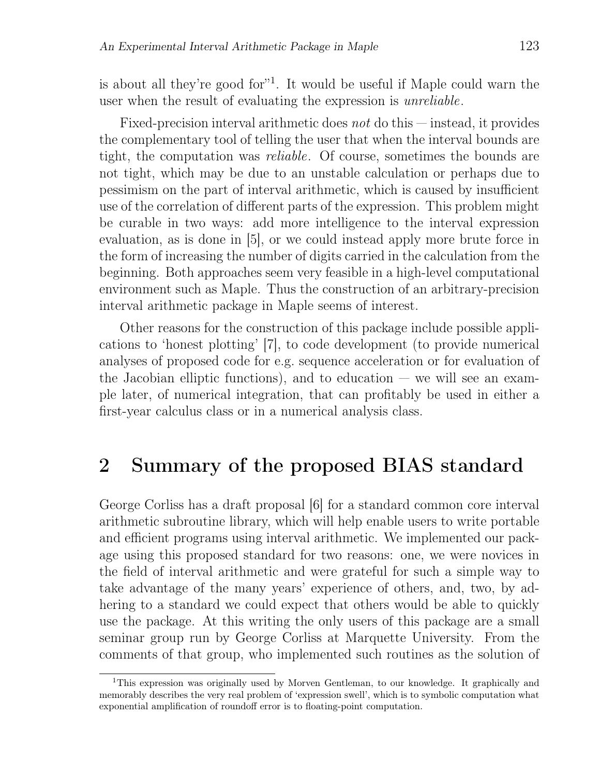is about all they're good for $1$ . It would be useful if Maple could warn the user when the result of evaluating the expression is unreliable.

Fixed-precision interval arithmetic does *not* do this  $-$  instead, it provides the complementary tool of telling the user that when the interval bounds are tight, the computation was reliable. Of course, sometimes the bounds are not tight, which may be due to an unstable calculation or perhaps due to pessimism on the part of interval arithmetic, which is caused by insufficient use of the correlation of different parts of the expression. This problem might be curable in two ways: add more intelligence to the interval expression evaluation, as is done in [5], or we could instead apply more brute force in the form of increasing the number of digits carried in the calculation from the beginning. Both approaches seem very feasible in a high-level computational environment such as Maple. Thus the construction of an arbitrary-precision interval arithmetic package in Maple seems of interest.

Other reasons for the construction of this package include possible applications to 'honest plotting' [7], to code development (to provide numerical analyses of proposed code for e.g. sequence acceleration or for evaluation of the Jacobian elliptic functions), and to education  $-$  we will see an example later, of numerical integration, that can profitably be used in either a first-year calculus class or in a numerical analysis class.

## 2 Summary of the proposed BIAS standard

George Corliss has a draft proposal [6] for a standard common core interval arithmetic subroutine library, which will help enable users to write portable and efficient programs using interval arithmetic. We implemented our package using this proposed standard for two reasons: one, we were novices in the field of interval arithmetic and were grateful for such a simple way to take advantage of the many years' experience of others, and, two, by adhering to a standard we could expect that others would be able to quickly use the package. At this writing the only users of this package are a small seminar group run by George Corliss at Marquette University. From the comments of that group, who implemented such routines as the solution of

<sup>1</sup>This expression was originally used by Morven Gentleman, to our knowledge. It graphically and memorably describes the very real problem of 'expression swell', which is to symbolic computation what exponential amplification of roundoff error is to floating-point computation.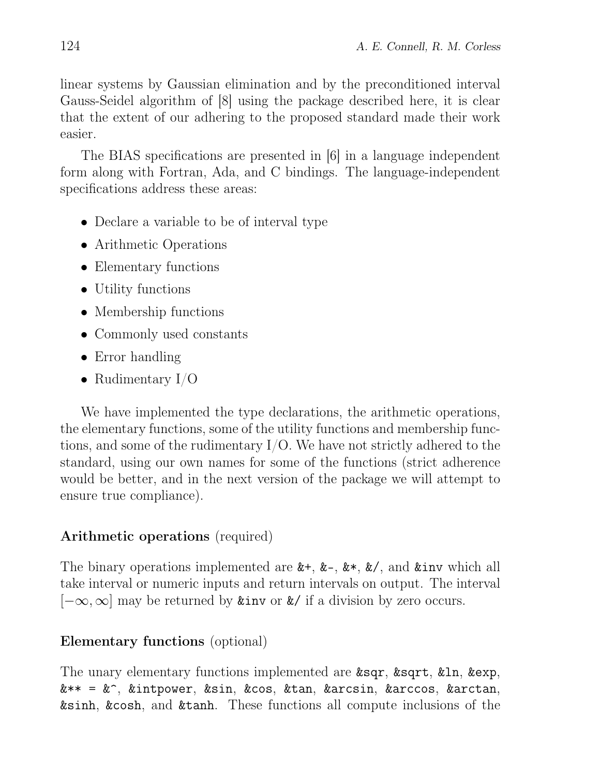linear systems by Gaussian elimination and by the preconditioned interval Gauss-Seidel algorithm of [8] using the package described here, it is clear that the extent of our adhering to the proposed standard made their work easier.

The BIAS specifications are presented in [6] in a language independent form along with Fortran, Ada, and C bindings. The language-independent specifications address these areas:

- Declare a variable to be of interval type
- Arithmetic Operations
- Elementary functions
- Utility functions
- Membership functions
- Commonly used constants
- Error handling
- Rudimentary  $I/O$

We have implemented the type declarations, the arithmetic operations, the elementary functions, some of the utility functions and membership functions, and some of the rudimentary I/O. We have not strictly adhered to the standard, using our own names for some of the functions (strict adherence would be better, and in the next version of the package we will attempt to ensure true compliance).

#### Arithmetic operations (required)

The binary operations implemented are  $k+$ ,  $k-$ ,  $k*$ ,  $k/$ , and kinv which all take interval or numeric inputs and return intervals on output. The interval  $[-\infty,\infty]$  may be returned by &inv or &/ if a division by zero occurs.

#### Elementary functions (optional)

The unary elementary functions implemented are &sqr, &sqrt, &ln, &exp, &\*\* = &^, &intpower, &sin, &cos, &tan, &arcsin, &arccos, &arctan, &sinh, &cosh, and &tanh. These functions all compute inclusions of the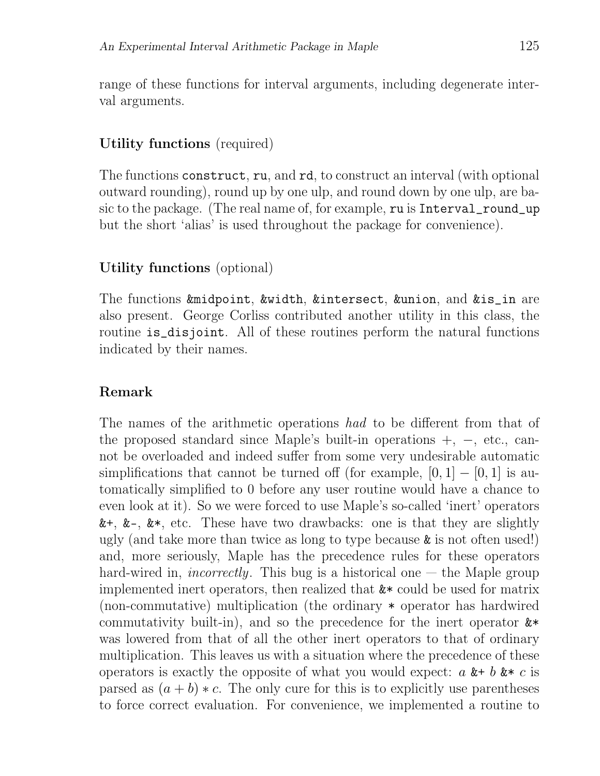range of these functions for interval arguments, including degenerate interval arguments.

#### Utility functions (required)

The functions construct, ru, and rd, to construct an interval (with optional outward rounding), round up by one ulp, and round down by one ulp, are basic to the package. (The real name of, for example, ru is Interval\_round\_up but the short 'alias' is used throughout the package for convenience).

#### Utility functions (optional)

The functions &midpoint, &width, &intersect, &union, and &is\_in are also present. George Corliss contributed another utility in this class, the routine is\_disjoint. All of these routines perform the natural functions indicated by their names.

#### Remark

The names of the arithmetic operations had to be different from that of the proposed standard since Maple's built-in operations +, −, etc., cannot be overloaded and indeed suffer from some very undesirable automatic simplifications that cannot be turned off (for example,  $[0, 1] - [0, 1]$  is automatically simplified to 0 before any user routine would have a chance to even look at it). So we were forced to use Maple's so-called 'inert' operators  $x^+, x^-, x^*,$  etc. These have two drawbacks: one is that they are slightly ugly (and take more than twice as long to type because  $\&$  is not often used!) and, more seriously, Maple has the precedence rules for these operators hard-wired in, *incorrectly*. This bug is a historical one  $-$  the Maple group implemented inert operators, then realized that &\* could be used for matrix (non-commutative) multiplication (the ordinary \* operator has hardwired commutativity built-in), and so the precedence for the inert operator  $\&*$ was lowered from that of all the other inert operators to that of ordinary multiplication. This leaves us with a situation where the precedence of these operators is exactly the opposite of what you would expect:  $a \& b \& c$  is parsed as  $(a + b) * c$ . The only cure for this is to explicitly use parentheses to force correct evaluation. For convenience, we implemented a routine to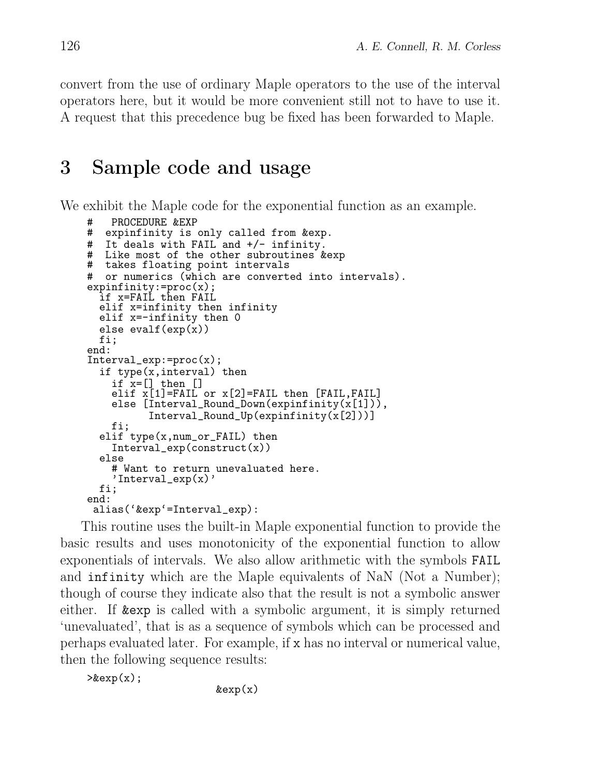convert from the use of ordinary Maple operators to the use of the interval operators here, but it would be more convenient still not to have to use it. A request that this precedence bug be fixed has been forwarded to Maple.

## 3 Sample code and usage

We exhibit the Maple code for the exponential function as an example.

```
PROCEDURE &EXP
# expinfinity is only called from &exp.
# It deals with FAIL and +/- infinity.
# Like most of the other subroutines &exp
# takes floating point intervals
# or numerics (which are converted into intervals).
expinfinity:=proc(x);
  if x=FAIL then FAIL
  elif x=infinity then infinity
  elif x=-infinity then 0
  else evalf(exp(x))
 fi;
end:
Interval_exp:=proc(x);
  if type(x,interval) then
    if x=[ then []elif x[1]=FAIL or x[2]=FAIL then [FAIL,FAIL]
    else [Interval_Round_Down(expinfinity(x[1])),
          Interval_Round_Up(expinfinity(x[2]))]
    fi;
  elif type(x,num_or_FAIL) then
    Interval_exp(construct(x))
  else
    # Want to return unevaluated here.
    'Interval_exp(x)'
 fi;
end:
 alias('&exp'=Interval_exp):
```
This routine uses the built-in Maple exponential function to provide the basic results and uses monotonicity of the exponential function to allow exponentials of intervals. We also allow arithmetic with the symbols FAIL and infinity which are the Maple equivalents of NaN (Not a Number); though of course they indicate also that the result is not a symbolic answer either. If &exp is called with a symbolic argument, it is simply returned 'unevaluated', that is as a sequence of symbols which can be processed and perhaps evaluated later. For example, if x has no interval or numerical value, then the following sequence results:

 $\geq$ &exp(x);

 $\&exp(x)$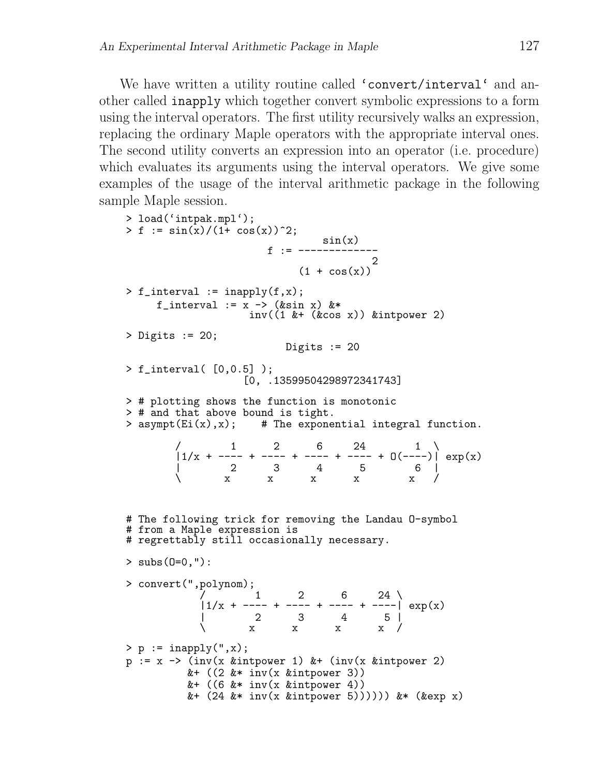We have written a utility routine called 'convert/interval' and another called inapply which together convert symbolic expressions to a form using the interval operators. The first utility recursively walks an expression, replacing the ordinary Maple operators with the appropriate interval ones. The second utility converts an expression into an operator (i.e. procedure) which evaluates its arguments using the interval operators. We give some examples of the usage of the interval arithmetic package in the following sample Maple session.

```
> load('intpak.mpl');
> f := \sin(x)/(1 + \cos(x))^2;sin(x)
                       f := -------------
                                       2
                            (1 + \cos(x))> f_interval := inapply(f,x);
     f_interval := x \rightarrow (&sin x) &*
                    inv((1 &+ (&cos x)) &intpower 2)
> Digits := 20;
                         Digits := 20> f_interval( [0,0.5] );
                  [0, .13599504298972341743]
> # plotting shows the function is monotonic
> # and that above bound is tight.
> asympt(Ei(x),x); # The exponential integral function.
        \begin{array}{ccccccccc}\n/ & & 1 & & 2 & & 6 & & 24 & & 1\n\end{array}|1/x + ---- + ---- + ---- + ---- + 0(----)| exp(x)| 2 3 4 5 6 |
        \ x x x x x /
# The following trick for removing the Landau O-symbol
# from a Maple expression is
# regrettably still occasionally necessary.
> subs(0=0,"):
> convert(",polynom);
            / 1 2 6 24 \
            |1/x + ---- + ---- + ---- + ---- | \exp(x)| 2 3 4 5 |
            \setminus x x x x /
> p := \text{inapply}(",x);p := x \rightarrow (inv(x \text{ kintpower 1}) \text{ k} + (inv(x \text{ kintpower 2})&+ ((2 \& * inv(x \& intpower 3))&+ ((6 &* inv(x &intpower 4))
          &+ (24 &* inv(x &intpower 5)))))) &* (&exp x)
```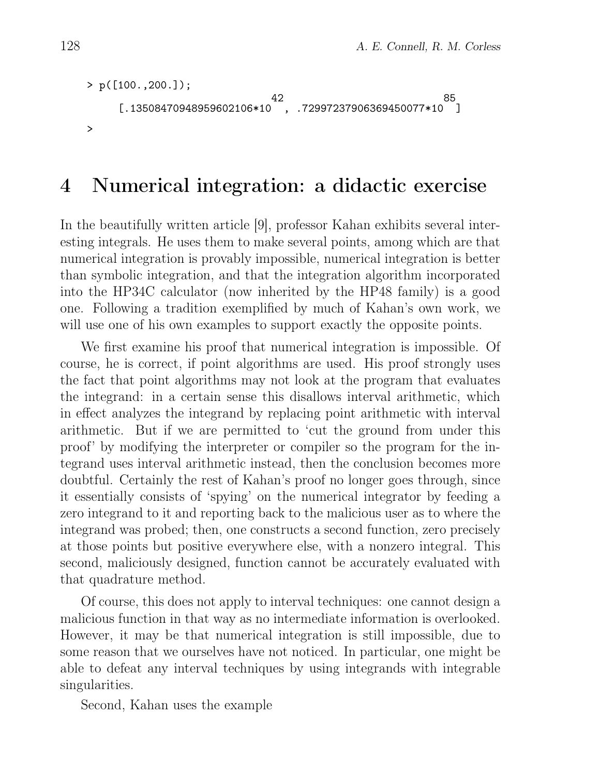```
> p([100.,200.]);
                       42 85
    [.13508470948959602106*10 , .72997237906369450077*10 ]
>
```
## 4 Numerical integration: a didactic exercise

In the beautifully written article [9], professor Kahan exhibits several interesting integrals. He uses them to make several points, among which are that numerical integration is provably impossible, numerical integration is better than symbolic integration, and that the integration algorithm incorporated into the HP34C calculator (now inherited by the HP48 family) is a good one. Following a tradition exemplified by much of Kahan's own work, we will use one of his own examples to support exactly the opposite points.

We first examine his proof that numerical integration is impossible. Of course, he is correct, if point algorithms are used. His proof strongly uses the fact that point algorithms may not look at the program that evaluates the integrand: in a certain sense this disallows interval arithmetic, which in effect analyzes the integrand by replacing point arithmetic with interval arithmetic. But if we are permitted to 'cut the ground from under this proof' by modifying the interpreter or compiler so the program for the integrand uses interval arithmetic instead, then the conclusion becomes more doubtful. Certainly the rest of Kahan's proof no longer goes through, since it essentially consists of 'spying' on the numerical integrator by feeding a zero integrand to it and reporting back to the malicious user as to where the integrand was probed; then, one constructs a second function, zero precisely at those points but positive everywhere else, with a nonzero integral. This second, maliciously designed, function cannot be accurately evaluated with that quadrature method.

Of course, this does not apply to interval techniques: one cannot design a malicious function in that way as no intermediate information is overlooked. However, it may be that numerical integration is still impossible, due to some reason that we ourselves have not noticed. In particular, one might be able to defeat any interval techniques by using integrands with integrable singularities.

Second, Kahan uses the example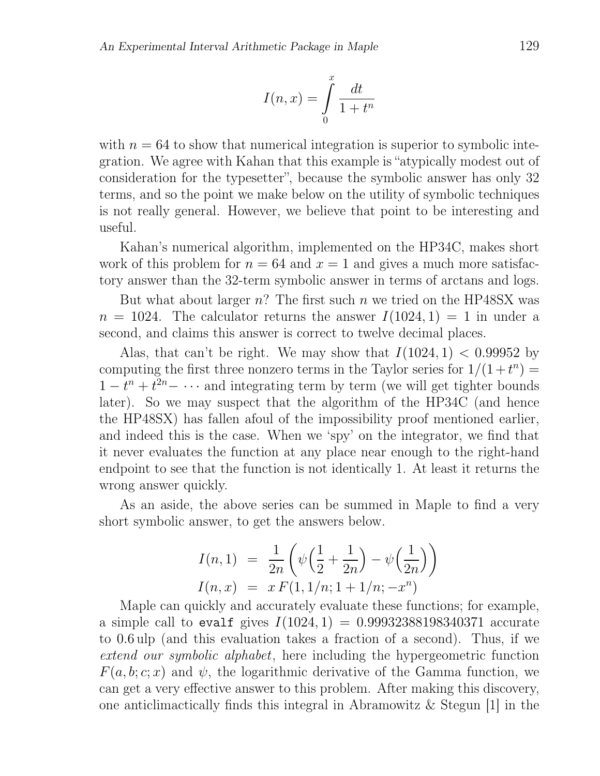$$
I(n,x) = \int_{0}^{x} \frac{dt}{1+t^n}
$$

with  $n = 64$  to show that numerical integration is superior to symbolic integration. We agree with Kahan that this example is "atypically modest out of consideration for the typesetter", because the symbolic answer has only 32 terms, and so the point we make below on the utility of symbolic techniques is not really general. However, we believe that point to be interesting and useful.

Kahan's numerical algorithm, implemented on the HP34C, makes short work of this problem for  $n = 64$  and  $x = 1$  and gives a much more satisfactory answer than the 32-term symbolic answer in terms of arctans and logs.

But what about larger  $n$ ? The first such n we tried on the HP48SX was  $n = 1024$ . The calculator returns the answer  $I(1024, 1) = 1$  in under a second, and claims this answer is correct to twelve decimal places.

Alas, that can't be right. We may show that  $I(1024, 1) < 0.99952$  by computing the first three nonzero terms in the Taylor series for  $1/(1+t^n)$  =  $1-t^n+t^{2n}-\cdots$  and integrating term by term (we will get tighter bounds later). So we may suspect that the algorithm of the HP34C (and hence the HP48SX) has fallen afoul of the impossibility proof mentioned earlier, and indeed this is the case. When we 'spy' on the integrator, we find that it never evaluates the function at any place near enough to the right-hand endpoint to see that the function is not identically 1. At least it returns the wrong answer quickly.

As an aside, the above series can be summed in Maple to find a very short symbolic answer, to get the answers below.

$$
I(n,1) = \frac{1}{2n} \left( \psi \left( \frac{1}{2} + \frac{1}{2n} \right) - \psi \left( \frac{1}{2n} \right) \right)
$$
  

$$
I(n,x) = x F(1, 1/n; 1 + 1/n; -x^n)
$$

Maple can quickly and accurately evaluate these functions; for example, a simple call to evalf gives  $I(1024, 1) = 0.99932388198340371$  accurate to 0.6 ulp (and this evaluation takes a fraction of a second). Thus, if we extend our symbolic alphabet, here including the hypergeometric function  $F(a, b; c; x)$  and  $\psi$ , the logarithmic derivative of the Gamma function, we can get a very effective answer to this problem. After making this discovery, one anticlimactically finds this integral in Abramowitz & Stegun [1] in the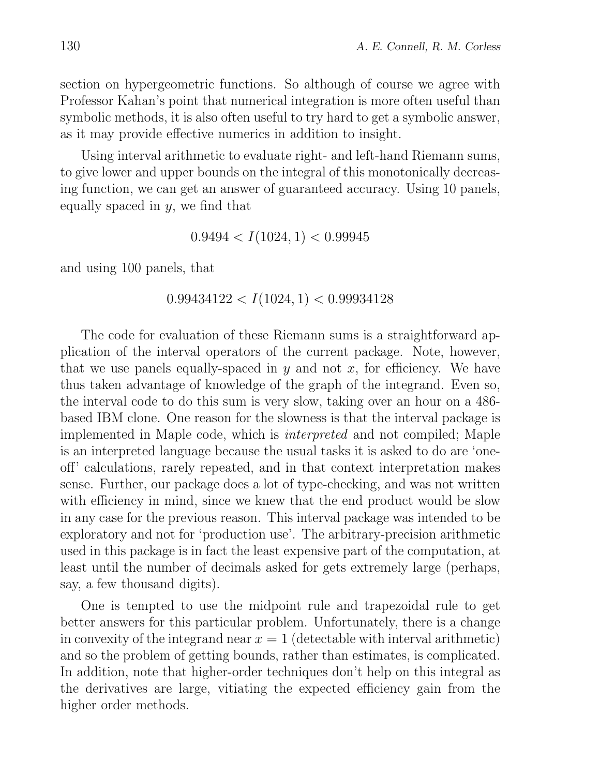section on hypergeometric functions. So although of course we agree with Professor Kahan's point that numerical integration is more often useful than symbolic methods, it is also often useful to try hard to get a symbolic answer, as it may provide effective numerics in addition to insight.

Using interval arithmetic to evaluate right- and left-hand Riemann sums, to give lower and upper bounds on the integral of this monotonically decreasing function, we can get an answer of guaranteed accuracy. Using 10 panels, equally spaced in  $y$ , we find that

$$
0.9494 < I(1024, 1) < 0.99945
$$

and using 100 panels, that

$$
0.99434122 < I(1024, 1) < 0.99934128
$$

The code for evaluation of these Riemann sums is a straightforward application of the interval operators of the current package. Note, however, that we use panels equally-spaced in y and not x, for efficiency. We have thus taken advantage of knowledge of the graph of the integrand. Even so, the interval code to do this sum is very slow, taking over an hour on a 486 based IBM clone. One reason for the slowness is that the interval package is implemented in Maple code, which is interpreted and not compiled; Maple is an interpreted language because the usual tasks it is asked to do are 'oneoff' calculations, rarely repeated, and in that context interpretation makes sense. Further, our package does a lot of type-checking, and was not written with efficiency in mind, since we knew that the end product would be slow in any case for the previous reason. This interval package was intended to be exploratory and not for 'production use'. The arbitrary-precision arithmetic used in this package is in fact the least expensive part of the computation, at least until the number of decimals asked for gets extremely large (perhaps, say, a few thousand digits).

One is tempted to use the midpoint rule and trapezoidal rule to get better answers for this particular problem. Unfortunately, there is a change in convexity of the integrand near  $x = 1$  (detectable with interval arithmetic) and so the problem of getting bounds, rather than estimates, is complicated. In addition, note that higher-order techniques don't help on this integral as the derivatives are large, vitiating the expected efficiency gain from the higher order methods.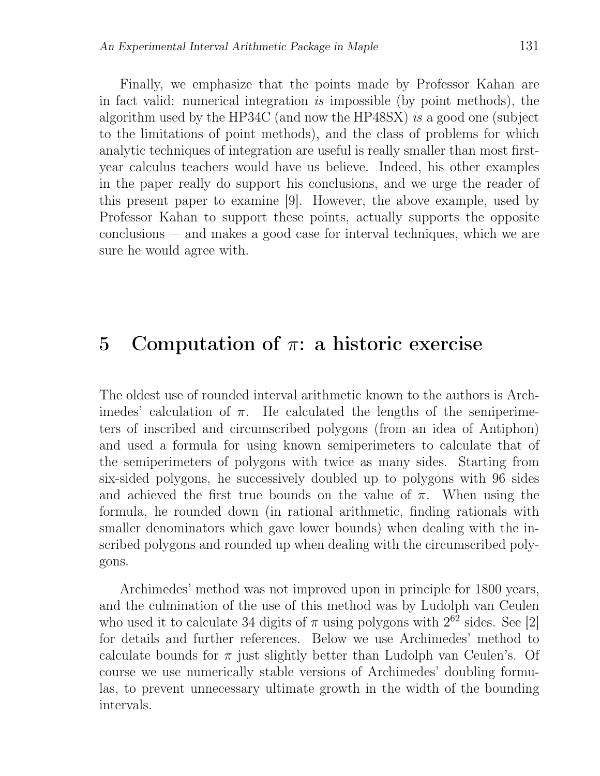Finally, we emphasize that the points made by Professor Kahan are in fact valid: numerical integration is impossible (by point methods), the algorithm used by the HP34C (and now the HP48SX) is a good one (subject to the limitations of point methods), and the class of problems for which analytic techniques of integration are useful is really smaller than most firstyear calculus teachers would have us believe. Indeed, his other examples in the paper really do support his conclusions, and we urge the reader of this present paper to examine [9]. However, the above example, used by Professor Kahan to support these points, actually supports the opposite conclusions — and makes a good case for interval techniques, which we are sure he would agree with.

### 5 Computation of  $π$ : a historic exercise

The oldest use of rounded interval arithmetic known to the authors is Archimedes' calculation of  $\pi$ . He calculated the lengths of the semiperimeters of inscribed and circumscribed polygons (from an idea of Antiphon) and used a formula for using known semiperimeters to calculate that of the semiperimeters of polygons with twice as many sides. Starting from six-sided polygons, he successively doubled up to polygons with 96 sides and achieved the first true bounds on the value of  $\pi$ . When using the formula, he rounded down (in rational arithmetic, finding rationals with smaller denominators which gave lower bounds) when dealing with the inscribed polygons and rounded up when dealing with the circumscribed polygons.

Archimedes' method was not improved upon in principle for 1800 years, and the culmination of the use of this method was by Ludolph van Ceulen who used it to calculate 34 digits of  $\pi$  using polygons with  $2^{62}$  sides. See [2] for details and further references. Below we use Archimedes' method to calculate bounds for  $\pi$  just slightly better than Ludolph van Ceulen's. Of course we use numerically stable versions of Archimedes' doubling formulas, to prevent unnecessary ultimate growth in the width of the bounding intervals.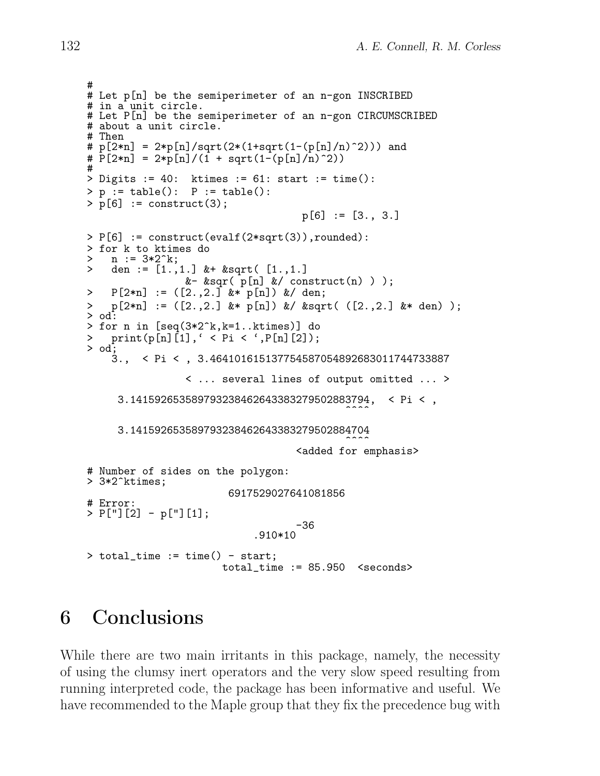```
#
# Let p[n] be the semiperimeter of an n-gon INSCRIBED
# in a unit circle.
# Let P[n] be the semiperimeter of an n-gon CIRCUMSCRIBED
# about a unit circle.
# Then
\# p[2*n] = 2*p[n]/sqrt(2*(1+sqrt(1-(p[n]/n)^2))) and
\# \ \mathrm{P}[2*n] = 2*p[n]/(1 + sqrt(1-(p[n]/n)^2))#
> Digits := 40: ktimes := 61: start := time():
> p := table(): P := table():> p[6] := construct(3);
                                     p[6] := [3., 3.]> P[6] := construct(evalf(2*sqrt(3)),rounded):
> for k to ktimes do<br>> n := 3*2^k:
> n := 3*2^k;<br>> den := 1^k.
    den := [1.,1.] & + &sqrt( [1.,1.]&- &sqr( p[n] &/ construct(n) ) );
> P[2*n] := ([2.,2.] &* p[n]) &/ den;
> p[2*n] := ([2.,2.] &* p[n]) &/ &sqrt( ([2.,2.] &* den) );
> od:
> for n in [seq(3*2^k,k=1..ktimes)] do
> \text{print}(p[n][1], ' < P_i < ', P[n][2]);
> od;<br>3.,
        3., < Pi < , 3.464101615137754587054892683011744733887
                 < ... several lines of output omitted ... >
     3.141592653589793238462643383279502883794, < Pi < ,
                                             \sim3.141592653589793238462643383279502884704
                                             \sim<added for emphasis>
# Number of sides on the polygon:
> 3*2^ktimes;
                        6917529027641081856
# Error:
> P["][2] - p["][1];
                                    -36
                             .910*10
> total_time := time() - start;
                       total_time := 85.950 <seconds>
```
# 6 Conclusions

While there are two main irritants in this package, namely, the necessity of using the clumsy inert operators and the very slow speed resulting from running interpreted code, the package has been informative and useful. We have recommended to the Maple group that they fix the precedence bug with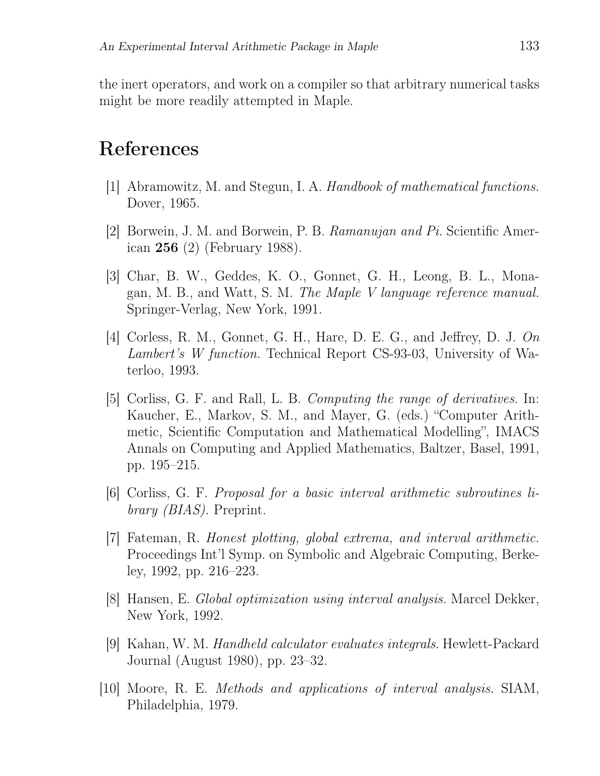the inert operators, and work on a compiler so that arbitrary numerical tasks might be more readily attempted in Maple.

### References

- [1] Abramowitz, M. and Stegun, I. A. Handbook of mathematical functions. Dover, 1965.
- [2] Borwein, J. M. and Borwein, P. B. Ramanujan and Pi. Scientific American 256 (2) (February 1988).
- [3] Char, B. W., Geddes, K. O., Gonnet, G. H., Leong, B. L., Monagan, M. B., and Watt, S. M. The Maple V language reference manual. Springer-Verlag, New York, 1991.
- [4] Corless, R. M., Gonnet, G. H., Hare, D. E. G., and Jeffrey, D. J. On Lambert's W function. Technical Report CS-93-03, University of Waterloo, 1993.
- [5] Corliss, G. F. and Rall, L. B. Computing the range of derivatives. In: Kaucher, E., Markov, S. M., and Mayer, G. (eds.) "Computer Arithmetic, Scientific Computation and Mathematical Modelling", IMACS Annals on Computing and Applied Mathematics, Baltzer, Basel, 1991, pp. 195–215.
- [6] Corliss, G. F. Proposal for a basic interval arithmetic subroutines library *(BIAS)*. Preprint.
- [7] Fateman, R. Honest plotting, global extrema, and interval arithmetic. Proceedings Int'l Symp. on Symbolic and Algebraic Computing, Berkeley, 1992, pp. 216–223.
- [8] Hansen, E. Global optimization using interval analysis. Marcel Dekker, New York, 1992.
- [9] Kahan, W. M. Handheld calculator evaluates integrals. Hewlett-Packard Journal (August 1980), pp. 23–32.
- [10] Moore, R. E. Methods and applications of interval analysis. SIAM, Philadelphia, 1979.